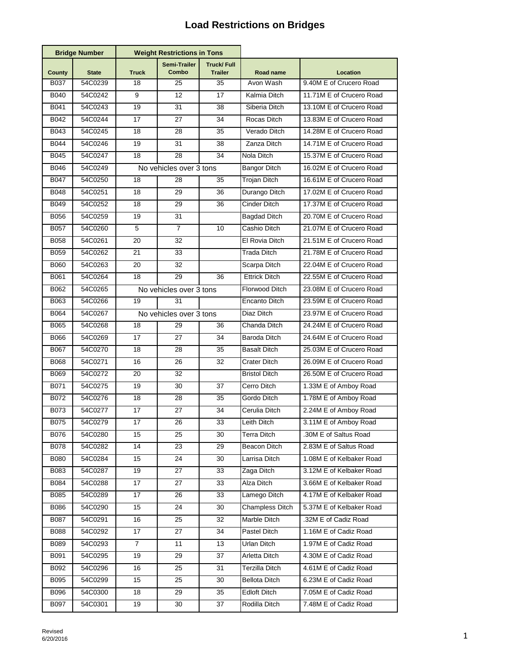## **Load Restrictions on Bridges**

| <b>Bridge Number</b> |              | <b>Weight Restrictions in Tons</b> |                              |                                     |                        |                          |
|----------------------|--------------|------------------------------------|------------------------------|-------------------------------------|------------------------|--------------------------|
| County               | <b>State</b> | <b>Truck</b>                       | <b>Semi-Trailer</b><br>Combo | <b>Truck/Full</b><br><b>Trailer</b> | Road name              | Location                 |
| B037                 | 54C0239      | 18                                 | 25                           | 35                                  | Avon Wash              | 9.40M E of Crucero Road  |
| B040                 | 54C0242      | 9                                  | 12                           | 17                                  | Kalmia Ditch           | 11.71M E of Crucero Road |
| B041                 | 54C0243      | 19                                 | 31                           | 38                                  | Siberia Ditch          | 13.10M E of Crucero Road |
| B042                 | 54C0244      | 17                                 | 27                           | 34                                  | Rocas Ditch            | 13.83M E of Crucero Road |
| B043                 | 54C0245      | 18                                 | 28                           | 35                                  | Verado Ditch           | 14.28M E of Crucero Road |
| B044                 | 54C0246      | 19                                 | 31                           | 38                                  | Zanza Ditch            | 14.71M E of Crucero Road |
| B045                 | 54C0247      | 18                                 | 28                           | 34                                  | Nola Ditch             | 15.37M E of Crucero Road |
| B046                 | 54C0249      | No vehicles over 3 tons            |                              |                                     | <b>Bangor Ditch</b>    | 16.02M E of Crucero Road |
| B047                 | 54C0250      | 18                                 | 28                           | 35                                  | Trojan Ditch           | 16.61M E of Crucero Road |
| <b>B048</b>          | 54C0251      | 18                                 | 29                           | 36                                  | Durango Ditch          | 17.02M E of Crucero Road |
| B049                 | 54C0252      | 18                                 | 29                           | 36                                  | Cinder Ditch           | 17.37M E of Crucero Road |
| B056                 | 54C0259      | 19                                 | 31                           |                                     | <b>Bagdad Ditch</b>    | 20.70M E of Crucero Road |
| <b>B057</b>          | 54C0260      | 5                                  | $\overline{7}$               | 10                                  | Cashio Ditch           | 21.07M E of Crucero Road |
| <b>B058</b>          | 54C0261      | 20                                 | 32                           |                                     | El Rovia Ditch         | 21.51M E of Crucero Road |
| <b>B059</b>          | 54C0262      | 21                                 | 33                           |                                     | Trada Ditch            | 21.78M E of Crucero Road |
| <b>B060</b>          | 54C0263      | 20                                 | 32                           |                                     | Scarpa Ditch           | 22.04M E of Crucero Road |
| B061                 | 54C0264      | 18                                 | 29                           | 36                                  | <b>Ettrick Ditch</b>   | 22.55M E of Crucero Road |
| B062                 | 54C0265      |                                    | No vehicles over 3 tons      |                                     | Florwood Ditch         | 23.08M E of Crucero Road |
| B063                 | 54C0266      | 19                                 | 31                           |                                     | Encanto Ditch          | 23.59M E of Crucero Road |
| <b>B064</b>          | 54C0267      |                                    | No vehicles over 3 tons      |                                     | Diaz Ditch             | 23.97M E of Crucero Road |
| <b>B065</b>          | 54C0268      | 18                                 | 29                           | 36                                  | Chanda Ditch           | 24.24M E of Crucero Road |
| B066                 | 54C0269      | 17                                 | 27                           | 34                                  | Baroda Ditch           | 24.64M E of Crucero Road |
| B067                 | 54C0270      | 18                                 | 28                           | 35                                  | <b>Basalt Ditch</b>    | 25.03M E of Crucero Road |
| B068                 | 54C0271      | 16                                 | 26                           | 32                                  | Crater Ditch           | 26.09M E of Crucero Road |
| <b>B069</b>          | 54C0272      | 20                                 | 32                           |                                     | <b>Bristol Ditch</b>   | 26.50M E of Crucero Road |
| B071                 | 54C0275      | 19                                 | 30                           | 37                                  | Cerro Ditch            | 1.33M E of Amboy Road    |
| B072                 | 54C0276      | 18                                 | 28                           | 35                                  | Gordo Ditch            | 1.78M E of Amboy Road    |
| B073                 | 54C0277      | 17                                 | 27                           | 34                                  | Cerulia Ditch          | 2.24M E of Amboy Road    |
| <b>BO</b>            | 54C0279      | 17                                 | 26                           | 33                                  | Leith Ditch            | 3.11M E of Amboy Road    |
| B076                 | 54C0280      | 15                                 | 25                           | 30                                  | Terra Ditch            | .30M E of Saltus Road    |
| <b>B078</b>          | 54C0282      | 14                                 | 23                           | 29                                  | Beacon Ditch           | 2.83M E of Saltus Road   |
| <b>B080</b>          | 54C0284      | 15                                 | 24                           | 30                                  | Larrisa Ditch          | 1.08M E of Kelbaker Road |
| B083                 | 54C0287      | 19                                 | 27                           | 33                                  | Zaga Ditch             | 3.12M E of Kelbaker Road |
| B084                 | 54C0288      | 17                                 | 27                           | 33                                  | Alza Ditch             | 3.66M E of Kelbaker Road |
| B085                 | 54C0289      | 17                                 | 26                           | 33                                  | Lamego Ditch           | 4.17M E of Kelbaker Road |
| B086                 | 54C0290      | 15                                 | 24                           | 30                                  | <b>Champless Ditch</b> | 5.37M E of Kelbaker Road |
| B087                 | 54C0291      | 16                                 | 25                           | 32                                  | Marble Ditch           | .32M E of Cadiz Road     |
| <b>B088</b>          | 54C0292      | 17                                 | 27                           | 34                                  | Pastel Ditch           | 1.16M E of Cadiz Road    |
| B089                 | 54C0293      | 7                                  | 11                           | 13                                  | Urlan Ditch            | 1.97M E of Cadiz Road    |
| B091                 | 54C0295      | 19                                 | 29                           | 37                                  | Arletta Ditch          | 4.30M E of Cadiz Road    |
| B092                 | 54C0296      | 16                                 | 25                           | 31                                  | Terzilla Ditch         | 4.61M E of Cadiz Road    |
| <b>B095</b>          | 54C0299      | 15                                 | 25                           | 30                                  | <b>Bellota Ditch</b>   | 6.23M E of Cadiz Road    |
| B096                 | 54C0300      | 18                                 | 29                           | 35                                  | Edloft Ditch           | 7.05M E of Cadiz Road    |
| <b>B097</b>          | 54C0301      | 19                                 | 30                           | 37                                  | Rodilla Ditch          | 7.48M E of Cadiz Road    |